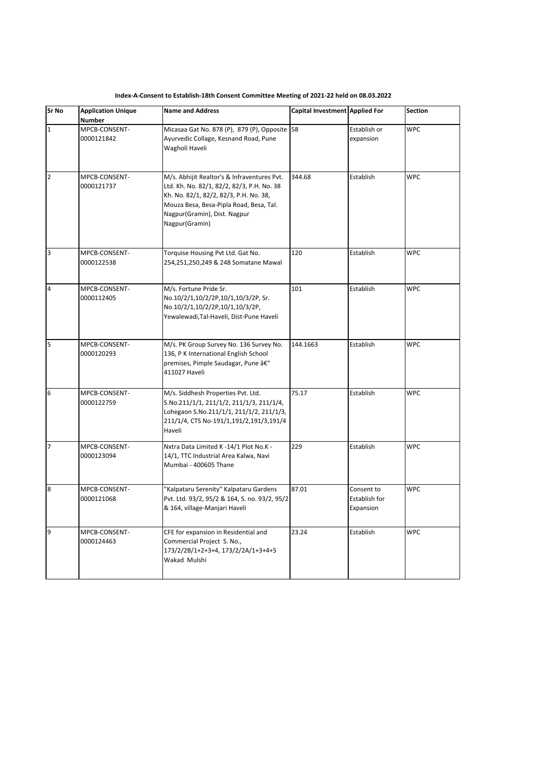| Sr No          | <b>Application Unique</b><br>Number | <b>Name and Address</b>                                                                                                                                                                                                          | Capital Investment Applied For |                                          | <b>Section</b> |
|----------------|-------------------------------------|----------------------------------------------------------------------------------------------------------------------------------------------------------------------------------------------------------------------------------|--------------------------------|------------------------------------------|----------------|
| $\mathbf 1$    | MPCB-CONSENT-<br>0000121842         | Micasaa Gat No. 878 (P), 879 (P), Opposite 58<br>Ayurvedic Collage, Kesnand Road, Pune<br>Wagholi Haveli                                                                                                                         |                                | Establish or<br>expansion                | <b>WPC</b>     |
| $\mathbf 2$    | MPCB-CONSENT-<br>0000121737         | M/s. Abhijit Realtor's & Infraventures Pvt.<br>Ltd. Kh. No. 82/1, 82/2, 82/3, P.H. No. 38<br>Kh. No. 82/1, 82/2, 82/3, P.H. No. 38,<br>Mouza Besa, Besa-Pipla Road, Besa, Tal.<br>Nagpur(Gramin), Dist. Nagpur<br>Nagpur(Gramin) | 344.68                         | Establish                                | <b>WPC</b>     |
| 3              | MPCB-CONSENT-<br>0000122538         | Torquise Housing Pvt Ltd. Gat No.<br>254,251,250,249 & 248 Somatane Mawal                                                                                                                                                        | 120                            | Establish                                | <b>WPC</b>     |
| 4              | MPCB-CONSENT-<br>0000112405         | M/s. Fortune Pride Sr.<br>No.10/2/1,10/2/2P,10/1,10/3/2P, Sr.<br>No.10/2/1,10/2/2P,10/1,10/3/2P,<br>Yewalewadi, Tal-Haveli, Dist-Pune Haveli                                                                                     | 101                            | Establish                                | <b>WPC</b>     |
| 5              | MPCB-CONSENT-<br>0000120293         | M/s. PK Group Survey No. 136 Survey No.<br>136, P K International English School<br>premises, Pimple Saudagar, Pune –<br>411027 Haveli                                                                                           | 144.1663                       | Establish                                | <b>WPC</b>     |
| 6              | MPCB-CONSENT-<br>0000122759         | M/s. Siddhesh Properties Pvt. Ltd.<br>S.No.211/1/1, 211/1/2, 211/1/3, 211/1/4,<br>Lohegaon S.No.211/1/1, 211/1/2, 211/1/3,<br>211/1/4, CTS No-191/1,191/2,191/3,191/4<br>Haveli                                                  | 75.17                          | Establish                                | <b>WPC</b>     |
| $\overline{7}$ | MPCB-CONSENT-<br>0000123094         | Nxtra Data Limited K -14/1 Plot No.K -<br>14/1, TTC Industrial Area Kalwa, Navi<br>Mumbai - 400605 Thane                                                                                                                         | 229                            | Establish                                | <b>WPC</b>     |
| 8              | MPCB-CONSENT-<br>0000121068         | "Kalpataru Serenity" Kalpataru Gardens<br>Pvt. Ltd. 93/2, 95/2 & 164, S. no. 93/2, 95/2<br>& 164, village-Manjari Haveli                                                                                                         | 87.01                          | Consent to<br>Establish for<br>Expansion | <b>WPC</b>     |
| 9              | MPCB-CONSENT-<br>0000124463         | CFE for expansion in Residential and<br>Commercial Project S. No.,<br>173/2/2B/1+2+3+4, 173/2/2A/1+3+4+5<br>Wakad Mulshi                                                                                                         | 23.24                          | Establish                                | <b>WPC</b>     |

**Index-A-Consent to Establish-18th Consent Committee Meeting of 2021-22 held on 08.03.2022**